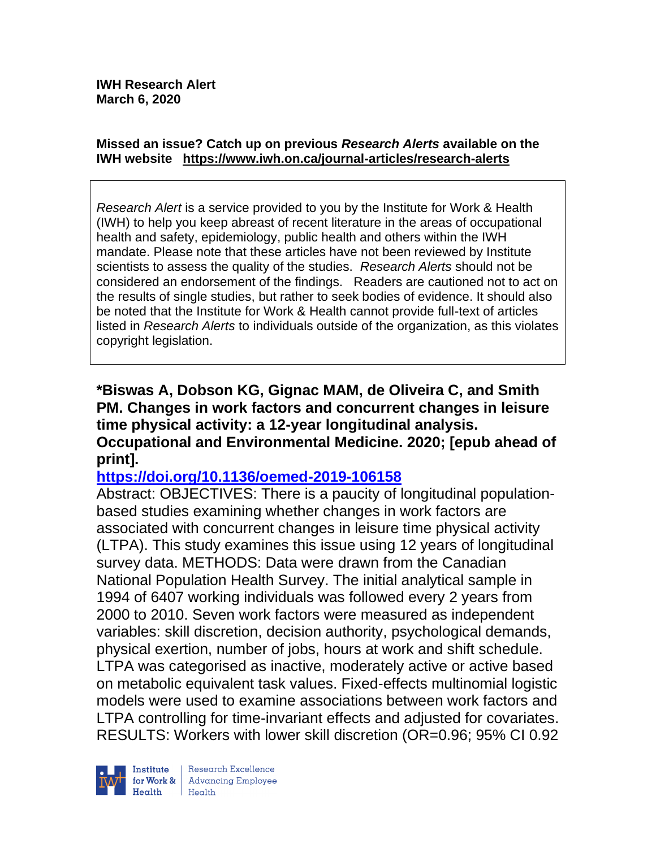#### **Missed an issue? Catch up on previous** *Research Alerts* **available on the [IWH website](http://www.iwh.on.ca/research-alerts) <https://www.iwh.on.ca/journal-articles/research-alerts>**

*Research Alert* is a service provided to you by the Institute for Work & Health (IWH) to help you keep abreast of recent literature in the areas of occupational health and safety, epidemiology, public health and others within the IWH mandate. Please note that these articles have not been reviewed by Institute scientists to assess the quality of the studies. *Research Alerts* should not be considered an endorsement of the findings. Readers are cautioned not to act on the results of single studies, but rather to seek bodies of evidence. It should also be noted that the Institute for Work & Health cannot provide full-text of articles listed in *Research Alerts* to individuals outside of the organization, as this violates copyright legislation.

**\*Biswas A, Dobson KG, Gignac MAM, de Oliveira C, and Smith PM. Changes in work factors and concurrent changes in leisure time physical activity: a 12-year longitudinal analysis. Occupational and Environmental Medicine. 2020; [epub ahead of print].**

### **<https://doi.org/10.1136/oemed-2019-106158>**

Abstract: OBJECTIVES: There is a paucity of longitudinal populationbased studies examining whether changes in work factors are associated with concurrent changes in leisure time physical activity (LTPA). This study examines this issue using 12 years of longitudinal survey data. METHODS: Data were drawn from the Canadian National Population Health Survey. The initial analytical sample in 1994 of 6407 working individuals was followed every 2 years from 2000 to 2010. Seven work factors were measured as independent variables: skill discretion, decision authority, psychological demands, physical exertion, number of jobs, hours at work and shift schedule. LTPA was categorised as inactive, moderately active or active based on metabolic equivalent task values. Fixed-effects multinomial logistic models were used to examine associations between work factors and LTPA controlling for time-invariant effects and adjusted for covariates. RESULTS: Workers with lower skill discretion (OR=0.96; 95% CI 0.92

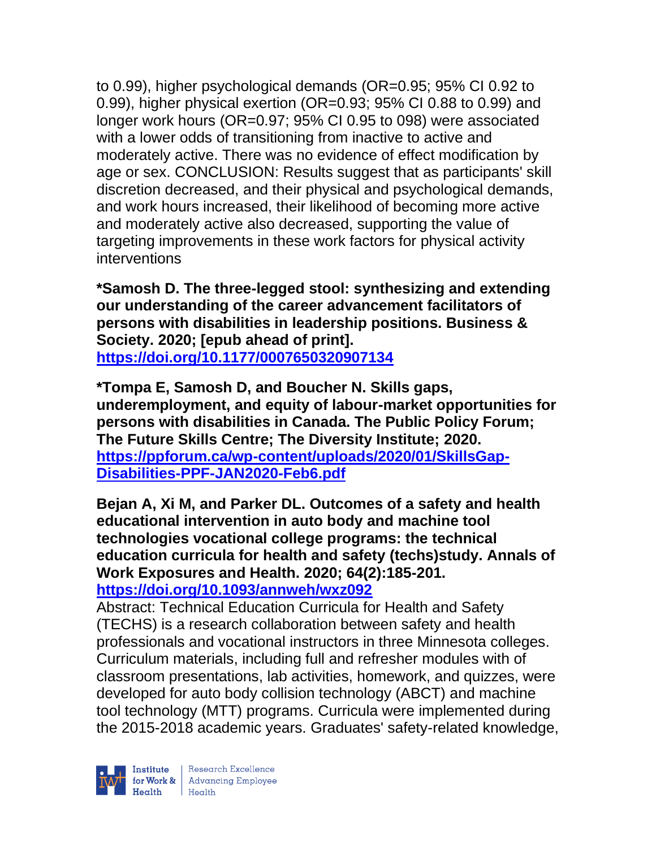to 0.99), higher psychological demands (OR=0.95; 95% CI 0.92 to 0.99), higher physical exertion (OR=0.93; 95% CI 0.88 to 0.99) and longer work hours (OR=0.97; 95% CI 0.95 to 098) were associated with a lower odds of transitioning from inactive to active and moderately active. There was no evidence of effect modification by age or sex. CONCLUSION: Results suggest that as participants' skill discretion decreased, and their physical and psychological demands, and work hours increased, their likelihood of becoming more active and moderately active also decreased, supporting the value of targeting improvements in these work factors for physical activity interventions

**\*Samosh D. The three-legged stool: synthesizing and extending our understanding of the career advancement facilitators of persons with disabilities in leadership positions. Business & Society. 2020; [epub ahead of print]. <https://doi.org/10.1177/0007650320907134>** 

**\*Tompa E, Samosh D, and Boucher N. Skills gaps, underemployment, and equity of labour-market opportunities for persons with disabilities in Canada. The Public Policy Forum; The Future Skills Centre; The Diversity Institute; 2020. [https://ppforum.ca/wp-content/uploads/2020/01/SkillsGap-](https://ppforum.ca/wp-content/uploads/2020/01/SkillsGap-Disabilities-PPF-JAN2020-Feb6.pdf)[Disabilities-PPF-JAN2020-Feb6.pdf](https://ppforum.ca/wp-content/uploads/2020/01/SkillsGap-Disabilities-PPF-JAN2020-Feb6.pdf)**

**Bejan A, Xi M, and Parker DL. Outcomes of a safety and health educational intervention in auto body and machine tool technologies vocational college programs: the technical education curricula for health and safety (techs)study. Annals of Work Exposures and Health. 2020; 64(2):185-201. <https://doi.org/10.1093/annweh/wxz092>** 

Abstract: Technical Education Curricula for Health and Safety (TECHS) is a research collaboration between safety and health professionals and vocational instructors in three Minnesota colleges. Curriculum materials, including full and refresher modules with of classroom presentations, lab activities, homework, and quizzes, were developed for auto body collision technology (ABCT) and machine tool technology (MTT) programs. Curricula were implemented during the 2015-2018 academic years. Graduates' safety-related knowledge,



| Research Excellence Finantium Research Excellence<br>
Finantium Research Employee<br>
Realth Health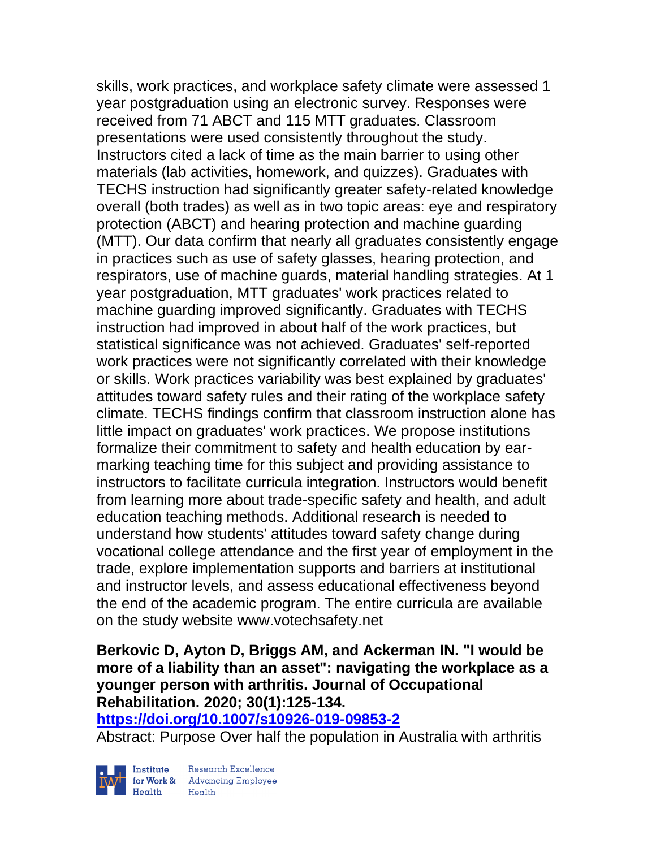skills, work practices, and workplace safety climate were assessed 1 year postgraduation using an electronic survey. Responses were received from 71 ABCT and 115 MTT graduates. Classroom presentations were used consistently throughout the study. Instructors cited a lack of time as the main barrier to using other materials (lab activities, homework, and quizzes). Graduates with TECHS instruction had significantly greater safety-related knowledge overall (both trades) as well as in two topic areas: eye and respiratory protection (ABCT) and hearing protection and machine guarding (MTT). Our data confirm that nearly all graduates consistently engage in practices such as use of safety glasses, hearing protection, and respirators, use of machine guards, material handling strategies. At 1 year postgraduation, MTT graduates' work practices related to machine guarding improved significantly. Graduates with TECHS instruction had improved in about half of the work practices, but statistical significance was not achieved. Graduates' self-reported work practices were not significantly correlated with their knowledge or skills. Work practices variability was best explained by graduates' attitudes toward safety rules and their rating of the workplace safety climate. TECHS findings confirm that classroom instruction alone has little impact on graduates' work practices. We propose institutions formalize their commitment to safety and health education by earmarking teaching time for this subject and providing assistance to instructors to facilitate curricula integration. Instructors would benefit from learning more about trade-specific safety and health, and adult education teaching methods. Additional research is needed to understand how students' attitudes toward safety change during vocational college attendance and the first year of employment in the trade, explore implementation supports and barriers at institutional and instructor levels, and assess educational effectiveness beyond the end of the academic program. The entire curricula are available on the study website www.votechsafety.net

#### **Berkovic D, Ayton D, Briggs AM, and Ackerman IN. "I would be more of a liability than an asset": navigating the workplace as a younger person with arthritis. Journal of Occupational Rehabilitation. 2020; 30(1):125-134. <https://doi.org/10.1007/s10926-019-09853-2>**

Abstract: Purpose Over half the population in Australia with arthritis



 $\begin{tabular}{|l|} Institute & Research Excellence \\ \hline for Work & Advancing Employee \\ Health & Health \\ \end{tabular}$ | Research Excellence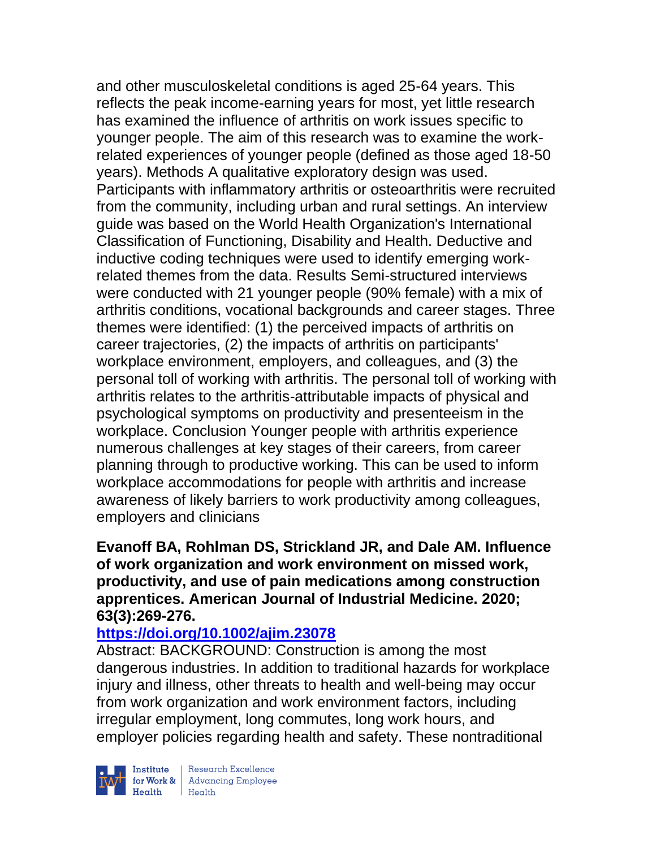and other musculoskeletal conditions is aged 25-64 years. This reflects the peak income-earning years for most, yet little research has examined the influence of arthritis on work issues specific to younger people. The aim of this research was to examine the workrelated experiences of younger people (defined as those aged 18-50 years). Methods A qualitative exploratory design was used. Participants with inflammatory arthritis or osteoarthritis were recruited from the community, including urban and rural settings. An interview guide was based on the World Health Organization's International Classification of Functioning, Disability and Health. Deductive and inductive coding techniques were used to identify emerging workrelated themes from the data. Results Semi-structured interviews were conducted with 21 younger people (90% female) with a mix of arthritis conditions, vocational backgrounds and career stages. Three themes were identified: (1) the perceived impacts of arthritis on career trajectories, (2) the impacts of arthritis on participants' workplace environment, employers, and colleagues, and (3) the personal toll of working with arthritis. The personal toll of working with arthritis relates to the arthritis-attributable impacts of physical and psychological symptoms on productivity and presenteeism in the workplace. Conclusion Younger people with arthritis experience numerous challenges at key stages of their careers, from career planning through to productive working. This can be used to inform workplace accommodations for people with arthritis and increase awareness of likely barriers to work productivity among colleagues, employers and clinicians

#### **Evanoff BA, Rohlman DS, Strickland JR, and Dale AM. Influence of work organization and work environment on missed work, productivity, and use of pain medications among construction apprentices. American Journal of Industrial Medicine. 2020; 63(3):269-276.**

# **<https://doi.org/10.1002/ajim.23078>**

Abstract: BACKGROUND: Construction is among the most dangerous industries. In addition to traditional hazards for workplace injury and illness, other threats to health and well-being may occur from work organization and work environment factors, including irregular employment, long commutes, long work hours, and employer policies regarding health and safety. These nontraditional



| Research Excellence Finantium Research Excellence<br>
Finantium Research Employee<br>
Realth Health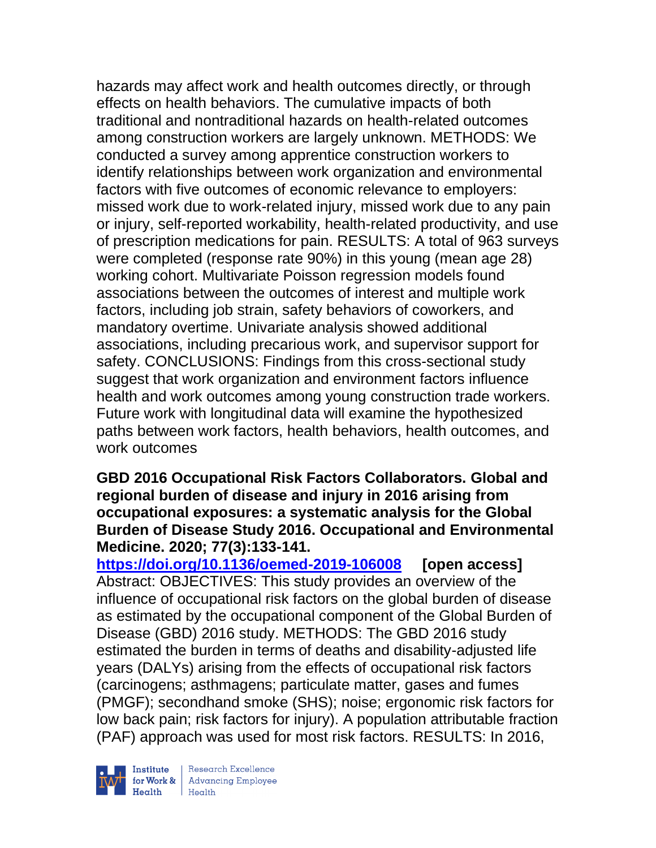hazards may affect work and health outcomes directly, or through effects on health behaviors. The cumulative impacts of both traditional and nontraditional hazards on health-related outcomes among construction workers are largely unknown. METHODS: We conducted a survey among apprentice construction workers to identify relationships between work organization and environmental factors with five outcomes of economic relevance to employers: missed work due to work-related injury, missed work due to any pain or injury, self-reported workability, health-related productivity, and use of prescription medications for pain. RESULTS: A total of 963 surveys were completed (response rate 90%) in this young (mean age 28) working cohort. Multivariate Poisson regression models found associations between the outcomes of interest and multiple work factors, including job strain, safety behaviors of coworkers, and mandatory overtime. Univariate analysis showed additional associations, including precarious work, and supervisor support for safety. CONCLUSIONS: Findings from this cross-sectional study suggest that work organization and environment factors influence health and work outcomes among young construction trade workers. Future work with longitudinal data will examine the hypothesized paths between work factors, health behaviors, health outcomes, and work outcomes

#### **GBD 2016 Occupational Risk Factors Collaborators. Global and regional burden of disease and injury in 2016 arising from occupational exposures: a systematic analysis for the Global Burden of Disease Study 2016. Occupational and Environmental Medicine. 2020; 77(3):133-141.**

**<https://doi.org/10.1136/oemed-2019-106008> [open access]** Abstract: OBJECTIVES: This study provides an overview of the influence of occupational risk factors on the global burden of disease as estimated by the occupational component of the Global Burden of Disease (GBD) 2016 study. METHODS: The GBD 2016 study estimated the burden in terms of deaths and disability-adjusted life years (DALYs) arising from the effects of occupational risk factors (carcinogens; asthmagens; particulate matter, gases and fumes (PMGF); secondhand smoke (SHS); noise; ergonomic risk factors for low back pain; risk factors for injury). A population attributable fraction (PAF) approach was used for most risk factors. RESULTS: In 2016,



 $\begin{tabular}{|l|} Institute & Research Excellence \\ \hline for Work & Advancing Employee \\ Health & Health \\ \end{tabular}$ | Research Excellence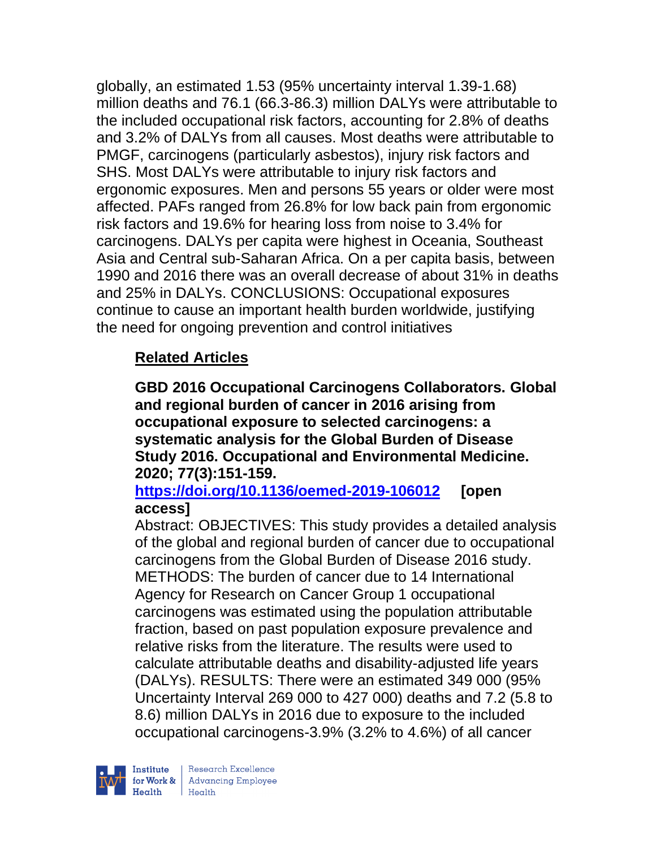globally, an estimated 1.53 (95% uncertainty interval 1.39-1.68) million deaths and 76.1 (66.3-86.3) million DALYs were attributable to the included occupational risk factors, accounting for 2.8% of deaths and 3.2% of DALYs from all causes. Most deaths were attributable to PMGF, carcinogens (particularly asbestos), injury risk factors and SHS. Most DALYs were attributable to injury risk factors and ergonomic exposures. Men and persons 55 years or older were most affected. PAFs ranged from 26.8% for low back pain from ergonomic risk factors and 19.6% for hearing loss from noise to 3.4% for carcinogens. DALYs per capita were highest in Oceania, Southeast Asia and Central sub-Saharan Africa. On a per capita basis, between 1990 and 2016 there was an overall decrease of about 31% in deaths and 25% in DALYs. CONCLUSIONS: Occupational exposures continue to cause an important health burden worldwide, justifying the need for ongoing prevention and control initiatives

# **Related Articles**

**GBD 2016 Occupational Carcinogens Collaborators. Global and regional burden of cancer in 2016 arising from occupational exposure to selected carcinogens: a systematic analysis for the Global Burden of Disease Study 2016. Occupational and Environmental Medicine. 2020; 77(3):151-159.** 

# **<https://doi.org/10.1136/oemed-2019-106012> [open access]**

Abstract: OBJECTIVES: This study provides a detailed analysis of the global and regional burden of cancer due to occupational carcinogens from the Global Burden of Disease 2016 study. METHODS: The burden of cancer due to 14 International Agency for Research on Cancer Group 1 occupational carcinogens was estimated using the population attributable fraction, based on past population exposure prevalence and relative risks from the literature. The results were used to calculate attributable deaths and disability-adjusted life years (DALYs). RESULTS: There were an estimated 349 000 (95% Uncertainty Interval 269 000 to 427 000) deaths and 7.2 (5.8 to 8.6) million DALYs in 2016 due to exposure to the included occupational carcinogens-3.9% (3.2% to 4.6%) of all cancer

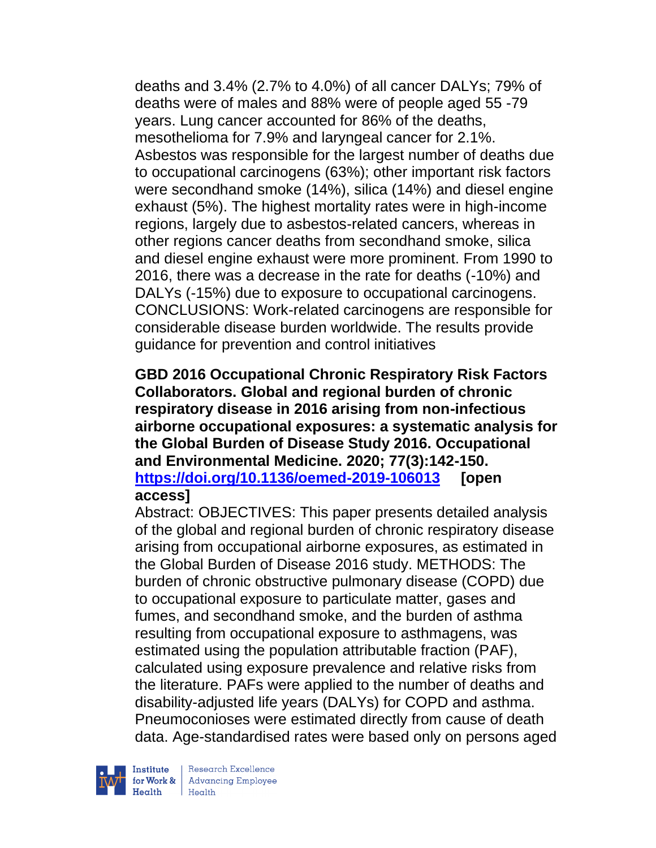deaths and 3.4% (2.7% to 4.0%) of all cancer DALYs; 79% of deaths were of males and 88% were of people aged 55 -79 years. Lung cancer accounted for 86% of the deaths, mesothelioma for 7.9% and laryngeal cancer for 2.1%. Asbestos was responsible for the largest number of deaths due to occupational carcinogens (63%); other important risk factors were secondhand smoke (14%), silica (14%) and diesel engine exhaust (5%). The highest mortality rates were in high-income regions, largely due to asbestos-related cancers, whereas in other regions cancer deaths from secondhand smoke, silica and diesel engine exhaust were more prominent. From 1990 to 2016, there was a decrease in the rate for deaths (-10%) and DALYs (-15%) due to exposure to occupational carcinogens. CONCLUSIONS: Work-related carcinogens are responsible for considerable disease burden worldwide. The results provide guidance for prevention and control initiatives

#### **GBD 2016 Occupational Chronic Respiratory Risk Factors Collaborators. Global and regional burden of chronic respiratory disease in 2016 arising from non-infectious airborne occupational exposures: a systematic analysis for the Global Burden of Disease Study 2016. Occupational and Environmental Medicine. 2020; 77(3):142-150. <https://doi.org/10.1136/oemed-2019-106013> [open access]**

Abstract: OBJECTIVES: This paper presents detailed analysis of the global and regional burden of chronic respiratory disease arising from occupational airborne exposures, as estimated in the Global Burden of Disease 2016 study. METHODS: The burden of chronic obstructive pulmonary disease (COPD) due to occupational exposure to particulate matter, gases and fumes, and secondhand smoke, and the burden of asthma resulting from occupational exposure to asthmagens, was estimated using the population attributable fraction (PAF), calculated using exposure prevalence and relative risks from the literature. PAFs were applied to the number of deaths and disability-adjusted life years (DALYs) for COPD and asthma. Pneumoconioses were estimated directly from cause of death data. Age-standardised rates were based only on persons aged



| Research Excellence for Work & Advancing Employee  $H$ ealth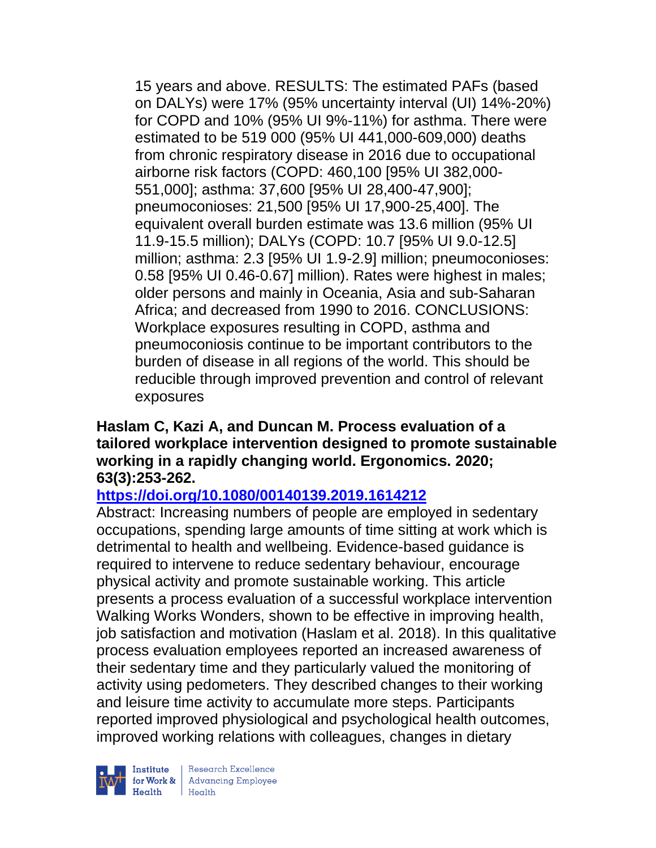15 years and above. RESULTS: The estimated PAFs (based on DALYs) were 17% (95% uncertainty interval (UI) 14%-20%) for COPD and 10% (95% UI 9%-11%) for asthma. There were estimated to be 519 000 (95% UI 441,000-609,000) deaths from chronic respiratory disease in 2016 due to occupational airborne risk factors (COPD: 460,100 [95% UI 382,000- 551,000]; asthma: 37,600 [95% UI 28,400-47,900]; pneumoconioses: 21,500 [95% UI 17,900-25,400]. The equivalent overall burden estimate was 13.6 million (95% UI 11.9-15.5 million); DALYs (COPD: 10.7 [95% UI 9.0-12.5] million; asthma: 2.3 [95% UI 1.9-2.9] million; pneumoconioses: 0.58 [95% UI 0.46-0.67] million). Rates were highest in males; older persons and mainly in Oceania, Asia and sub-Saharan Africa; and decreased from 1990 to 2016. CONCLUSIONS: Workplace exposures resulting in COPD, asthma and pneumoconiosis continue to be important contributors to the burden of disease in all regions of the world. This should be reducible through improved prevention and control of relevant exposures

### **Haslam C, Kazi A, and Duncan M. Process evaluation of a tailored workplace intervention designed to promote sustainable working in a rapidly changing world. Ergonomics. 2020; 63(3):253-262.**

# **<https://doi.org/10.1080/00140139.2019.1614212>**

Abstract: Increasing numbers of people are employed in sedentary occupations, spending large amounts of time sitting at work which is detrimental to health and wellbeing. Evidence-based guidance is required to intervene to reduce sedentary behaviour, encourage physical activity and promote sustainable working. This article presents a process evaluation of a successful workplace intervention Walking Works Wonders, shown to be effective in improving health, job satisfaction and motivation (Haslam et al. 2018). In this qualitative process evaluation employees reported an increased awareness of their sedentary time and they particularly valued the monitoring of activity using pedometers. They described changes to their working and leisure time activity to accumulate more steps. Participants reported improved physiological and psychological health outcomes, improved working relations with colleagues, changes in dietary



Institute Research Excellence<br>
for Work & Advancing Employee<br>
Health<br>
Health  $\text{Health}$   $\text{Health}$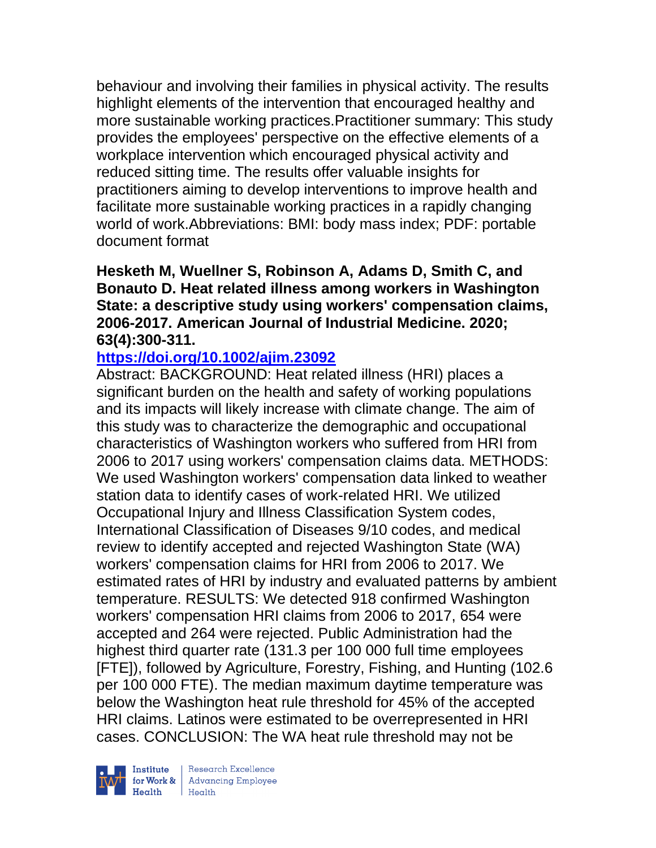behaviour and involving their families in physical activity. The results highlight elements of the intervention that encouraged healthy and more sustainable working practices.Practitioner summary: This study provides the employees' perspective on the effective elements of a workplace intervention which encouraged physical activity and reduced sitting time. The results offer valuable insights for practitioners aiming to develop interventions to improve health and facilitate more sustainable working practices in a rapidly changing world of work.Abbreviations: BMI: body mass index; PDF: portable document format

### **Hesketh M, Wuellner S, Robinson A, Adams D, Smith C, and Bonauto D. Heat related illness among workers in Washington State: a descriptive study using workers' compensation claims, 2006-2017. American Journal of Industrial Medicine. 2020; 63(4):300-311.**

### **<https://doi.org/10.1002/ajim.23092>**

Abstract: BACKGROUND: Heat related illness (HRI) places a significant burden on the health and safety of working populations and its impacts will likely increase with climate change. The aim of this study was to characterize the demographic and occupational characteristics of Washington workers who suffered from HRI from 2006 to 2017 using workers' compensation claims data. METHODS: We used Washington workers' compensation data linked to weather station data to identify cases of work-related HRI. We utilized Occupational Injury and Illness Classification System codes, International Classification of Diseases 9/10 codes, and medical review to identify accepted and rejected Washington State (WA) workers' compensation claims for HRI from 2006 to 2017. We estimated rates of HRI by industry and evaluated patterns by ambient temperature. RESULTS: We detected 918 confirmed Washington workers' compensation HRI claims from 2006 to 2017, 654 were accepted and 264 were rejected. Public Administration had the highest third quarter rate (131.3 per 100 000 full time employees [FTE]), followed by Agriculture, Forestry, Fishing, and Hunting (102.6 per 100 000 FTE). The median maximum daytime temperature was below the Washington heat rule threshold for 45% of the accepted HRI claims. Latinos were estimated to be overrepresented in HRI cases. CONCLUSION: The WA heat rule threshold may not be

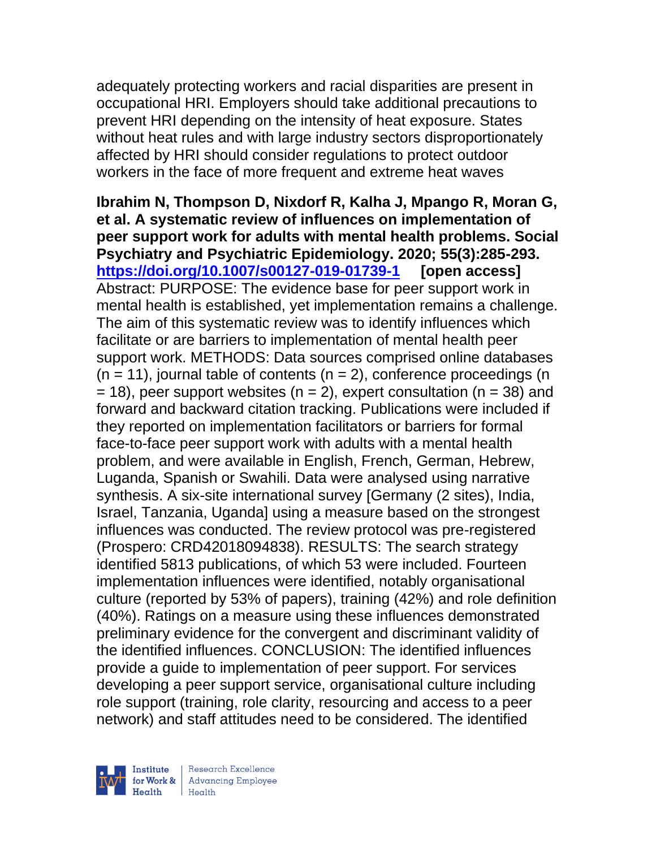adequately protecting workers and racial disparities are present in occupational HRI. Employers should take additional precautions to prevent HRI depending on the intensity of heat exposure. States without heat rules and with large industry sectors disproportionately affected by HRI should consider regulations to protect outdoor workers in the face of more frequent and extreme heat waves

**Ibrahim N, Thompson D, Nixdorf R, Kalha J, Mpango R, Moran G, et al. A systematic review of influences on implementation of peer support work for adults with mental health problems. Social Psychiatry and Psychiatric Epidemiology. 2020; 55(3):285-293. <https://doi.org/10.1007/s00127-019-01739-1> [open access]**  Abstract: PURPOSE: The evidence base for peer support work in mental health is established, yet implementation remains a challenge. The aim of this systematic review was to identify influences which facilitate or are barriers to implementation of mental health peer support work. METHODS: Data sources comprised online databases  $(n = 11)$ , journal table of contents  $(n = 2)$ , conference proceedings  $(n = 11)$  $= 18$ ), peer support websites (n = 2), expert consultation (n = 38) and forward and backward citation tracking. Publications were included if they reported on implementation facilitators or barriers for formal face-to-face peer support work with adults with a mental health problem, and were available in English, French, German, Hebrew, Luganda, Spanish or Swahili. Data were analysed using narrative synthesis. A six-site international survey [Germany (2 sites), India, Israel, Tanzania, Uganda] using a measure based on the strongest influences was conducted. The review protocol was pre-registered (Prospero: CRD42018094838). RESULTS: The search strategy identified 5813 publications, of which 53 were included. Fourteen implementation influences were identified, notably organisational culture (reported by 53% of papers), training (42%) and role definition (40%). Ratings on a measure using these influences demonstrated preliminary evidence for the convergent and discriminant validity of the identified influences. CONCLUSION: The identified influences provide a guide to implementation of peer support. For services developing a peer support service, organisational culture including role support (training, role clarity, resourcing and access to a peer network) and staff attitudes need to be considered. The identified

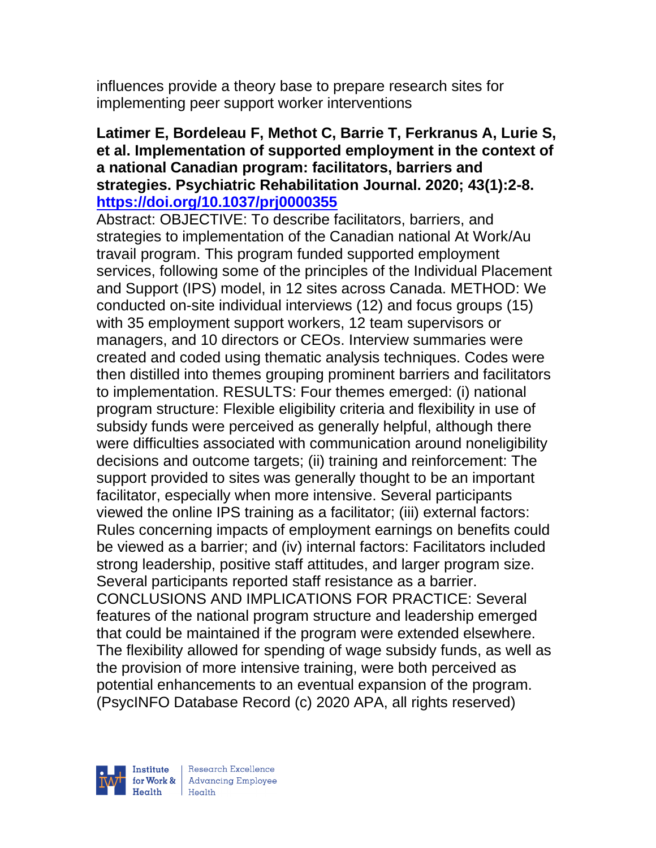influences provide a theory base to prepare research sites for implementing peer support worker interventions

### **Latimer E, Bordeleau F, Methot C, Barrie T, Ferkranus A, Lurie S, et al. Implementation of supported employment in the context of a national Canadian program: facilitators, barriers and strategies. Psychiatric Rehabilitation Journal. 2020; 43(1):2-8. <https://doi.org/10.1037/prj0000355>**

Abstract: OBJECTIVE: To describe facilitators, barriers, and strategies to implementation of the Canadian national At Work/Au travail program. This program funded supported employment services, following some of the principles of the Individual Placement and Support (IPS) model, in 12 sites across Canada. METHOD: We conducted on-site individual interviews (12) and focus groups (15) with 35 employment support workers, 12 team supervisors or managers, and 10 directors or CEOs. Interview summaries were created and coded using thematic analysis techniques. Codes were then distilled into themes grouping prominent barriers and facilitators to implementation. RESULTS: Four themes emerged: (i) national program structure: Flexible eligibility criteria and flexibility in use of subsidy funds were perceived as generally helpful, although there were difficulties associated with communication around noneligibility decisions and outcome targets; (ii) training and reinforcement: The support provided to sites was generally thought to be an important facilitator, especially when more intensive. Several participants viewed the online IPS training as a facilitator; (iii) external factors: Rules concerning impacts of employment earnings on benefits could be viewed as a barrier; and (iv) internal factors: Facilitators included strong leadership, positive staff attitudes, and larger program size. Several participants reported staff resistance as a barrier. CONCLUSIONS AND IMPLICATIONS FOR PRACTICE: Several features of the national program structure and leadership emerged that could be maintained if the program were extended elsewhere. The flexibility allowed for spending of wage subsidy funds, as well as the provision of more intensive training, were both perceived as potential enhancements to an eventual expansion of the program. (PsycINFO Database Record (c) 2020 APA, all rights reserved)



| Research Excellence for Work & Advancing Employee<br>Health Health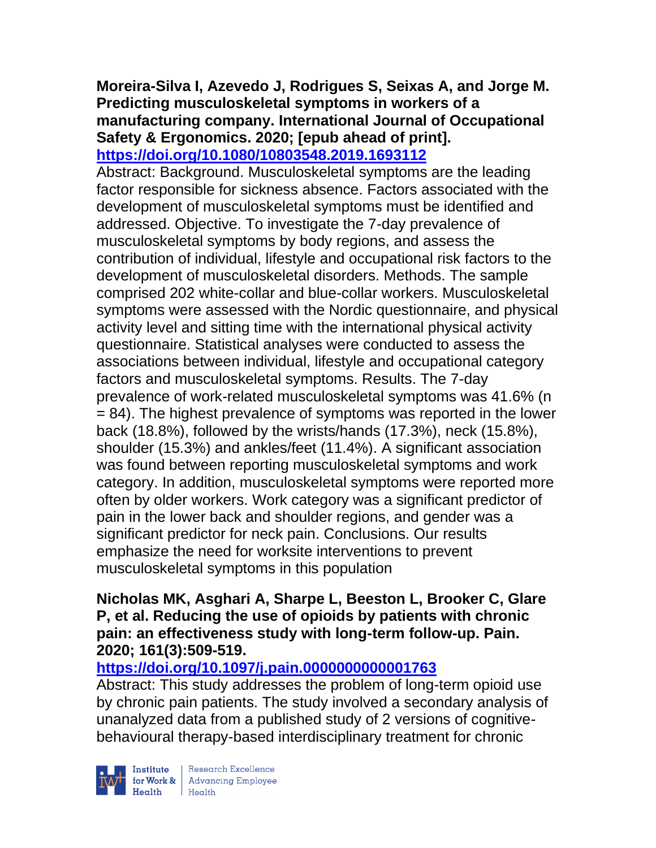#### **Moreira-Silva I, Azevedo J, Rodrigues S, Seixas A, and Jorge M. Predicting musculoskeletal symptoms in workers of a manufacturing company. International Journal of Occupational Safety & Ergonomics. 2020; [epub ahead of print]. <https://doi.org/10.1080/10803548.2019.1693112>**

Abstract: Background. Musculoskeletal symptoms are the leading factor responsible for sickness absence. Factors associated with the development of musculoskeletal symptoms must be identified and addressed. Objective. To investigate the 7-day prevalence of musculoskeletal symptoms by body regions, and assess the contribution of individual, lifestyle and occupational risk factors to the development of musculoskeletal disorders. Methods. The sample comprised 202 white-collar and blue-collar workers. Musculoskeletal symptoms were assessed with the Nordic questionnaire, and physical activity level and sitting time with the international physical activity questionnaire. Statistical analyses were conducted to assess the associations between individual, lifestyle and occupational category factors and musculoskeletal symptoms. Results. The 7-day prevalence of work-related musculoskeletal symptoms was 41.6% (n = 84). The highest prevalence of symptoms was reported in the lower back (18.8%), followed by the wrists/hands (17.3%), neck (15.8%), shoulder (15.3%) and ankles/feet (11.4%). A significant association was found between reporting musculoskeletal symptoms and work category. In addition, musculoskeletal symptoms were reported more often by older workers. Work category was a significant predictor of pain in the lower back and shoulder regions, and gender was a significant predictor for neck pain. Conclusions. Our results emphasize the need for worksite interventions to prevent musculoskeletal symptoms in this population

#### **Nicholas MK, Asghari A, Sharpe L, Beeston L, Brooker C, Glare P, et al. Reducing the use of opioids by patients with chronic pain: an effectiveness study with long-term follow-up. Pain. 2020; 161(3):509-519.**

# **<https://doi.org/10.1097/j.pain.0000000000001763>**

Abstract: This study addresses the problem of long-term opioid use by chronic pain patients. The study involved a secondary analysis of unanalyzed data from a published study of 2 versions of cognitivebehavioural therapy-based interdisciplinary treatment for chronic



 $\begin{tabular}{|l|} Institute & Research Excellence \\ \hline for Work & Advancing Employee \\ Health & Health \\ \end{tabular}$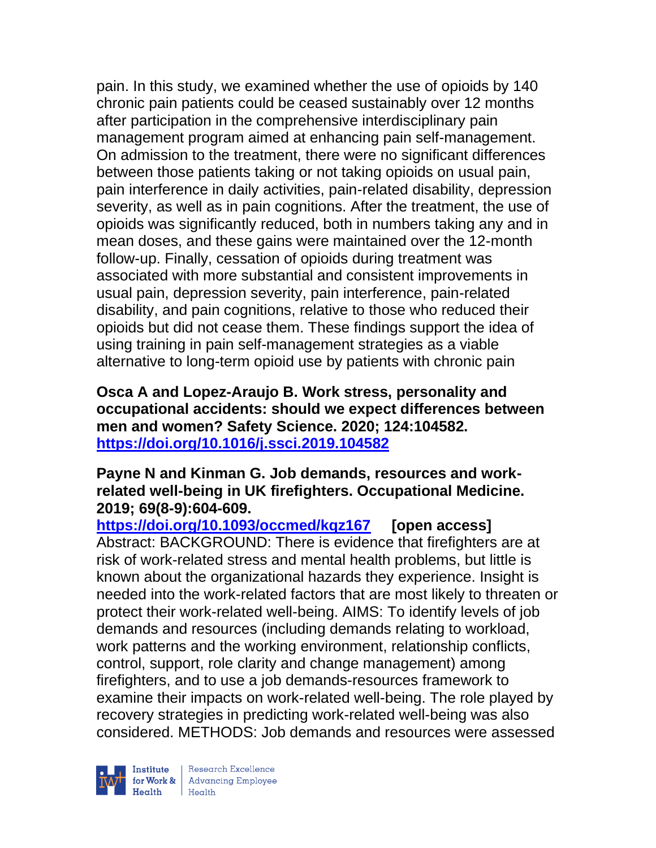pain. In this study, we examined whether the use of opioids by 140 chronic pain patients could be ceased sustainably over 12 months after participation in the comprehensive interdisciplinary pain management program aimed at enhancing pain self-management. On admission to the treatment, there were no significant differences between those patients taking or not taking opioids on usual pain, pain interference in daily activities, pain-related disability, depression severity, as well as in pain cognitions. After the treatment, the use of opioids was significantly reduced, both in numbers taking any and in mean doses, and these gains were maintained over the 12-month follow-up. Finally, cessation of opioids during treatment was associated with more substantial and consistent improvements in usual pain, depression severity, pain interference, pain-related disability, and pain cognitions, relative to those who reduced their opioids but did not cease them. These findings support the idea of using training in pain self-management strategies as a viable alternative to long-term opioid use by patients with chronic pain

**Osca A and Lopez-Araujo B. Work stress, personality and occupational accidents: should we expect differences between men and women? Safety Science. 2020; 124:104582. <https://doi.org/10.1016/j.ssci.2019.104582>** 

#### **Payne N and Kinman G. Job demands, resources and workrelated well-being in UK firefighters. Occupational Medicine. 2019; 69(8-9):604-609.**

**<https://doi.org/10.1093/occmed/kqz167> [open access]**  Abstract: BACKGROUND: There is evidence that firefighters are at risk of work-related stress and mental health problems, but little is known about the organizational hazards they experience. Insight is needed into the work-related factors that are most likely to threaten or protect their work-related well-being. AIMS: To identify levels of job demands and resources (including demands relating to workload, work patterns and the working environment, relationship conflicts, control, support, role clarity and change management) among firefighters, and to use a job demands-resources framework to examine their impacts on work-related well-being. The role played by recovery strategies in predicting work-related well-being was also considered. METHODS: Job demands and resources were assessed

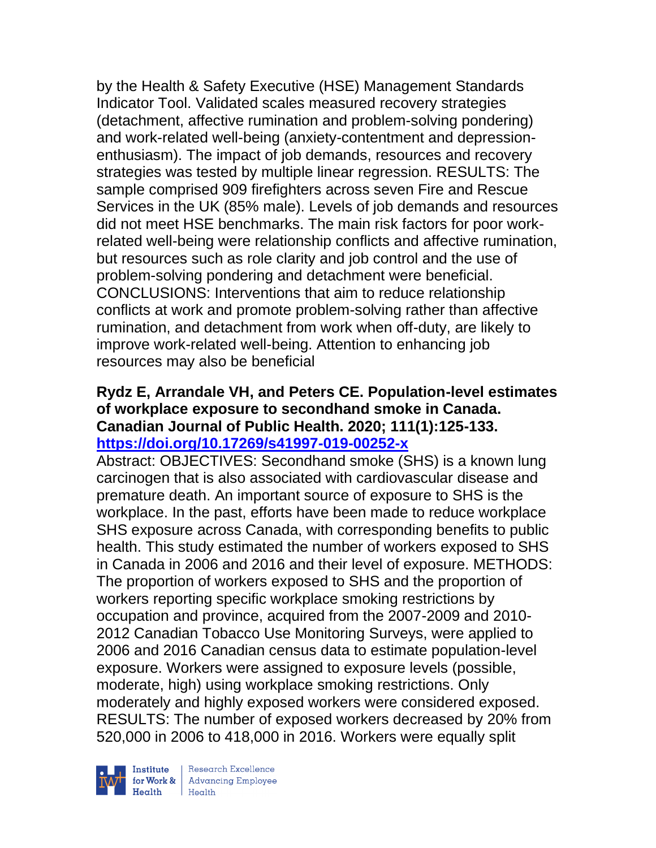by the Health & Safety Executive (HSE) Management Standards Indicator Tool. Validated scales measured recovery strategies (detachment, affective rumination and problem-solving pondering) and work-related well-being (anxiety-contentment and depressionenthusiasm). The impact of job demands, resources and recovery strategies was tested by multiple linear regression. RESULTS: The sample comprised 909 firefighters across seven Fire and Rescue Services in the UK (85% male). Levels of job demands and resources did not meet HSE benchmarks. The main risk factors for poor workrelated well-being were relationship conflicts and affective rumination, but resources such as role clarity and job control and the use of problem-solving pondering and detachment were beneficial. CONCLUSIONS: Interventions that aim to reduce relationship conflicts at work and promote problem-solving rather than affective rumination, and detachment from work when off-duty, are likely to improve work-related well-being. Attention to enhancing job resources may also be beneficial

### **Rydz E, Arrandale VH, and Peters CE. Population-level estimates of workplace exposure to secondhand smoke in Canada. Canadian Journal of Public Health. 2020; 111(1):125-133. <https://doi.org/10.17269/s41997-019-00252-x>**

Abstract: OBJECTIVES: Secondhand smoke (SHS) is a known lung carcinogen that is also associated with cardiovascular disease and premature death. An important source of exposure to SHS is the workplace. In the past, efforts have been made to reduce workplace SHS exposure across Canada, with corresponding benefits to public health. This study estimated the number of workers exposed to SHS in Canada in 2006 and 2016 and their level of exposure. METHODS: The proportion of workers exposed to SHS and the proportion of workers reporting specific workplace smoking restrictions by occupation and province, acquired from the 2007-2009 and 2010- 2012 Canadian Tobacco Use Monitoring Surveys, were applied to 2006 and 2016 Canadian census data to estimate population-level exposure. Workers were assigned to exposure levels (possible, moderate, high) using workplace smoking restrictions. Only moderately and highly exposed workers were considered exposed. RESULTS: The number of exposed workers decreased by 20% from 520,000 in 2006 to 418,000 in 2016. Workers were equally split



 $\begin{tabular}{|l|} Institute & Research Excellence \\ \hline for Work & Advancing Employee \\ Health & Health \\ \end{tabular}$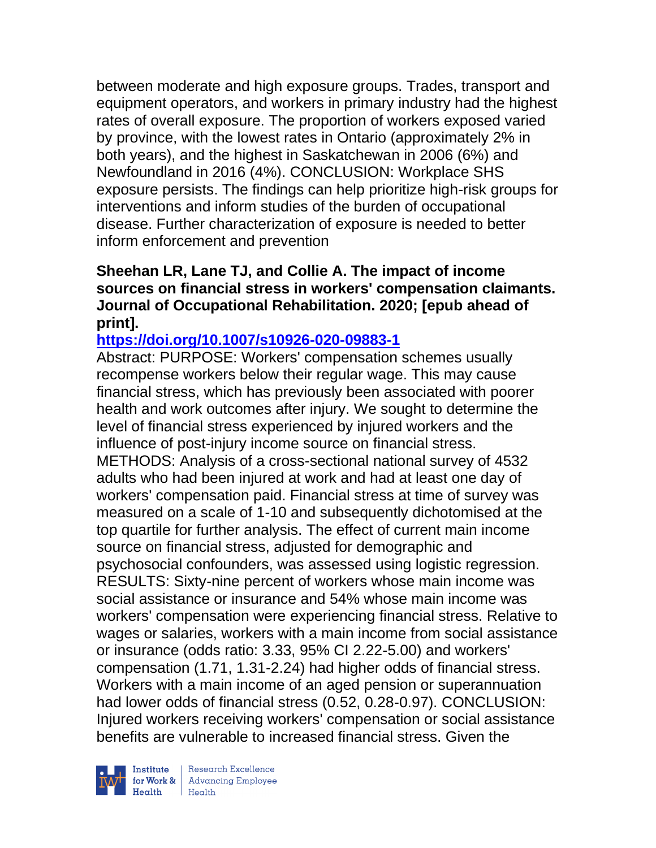between moderate and high exposure groups. Trades, transport and equipment operators, and workers in primary industry had the highest rates of overall exposure. The proportion of workers exposed varied by province, with the lowest rates in Ontario (approximately 2% in both years), and the highest in Saskatchewan in 2006 (6%) and Newfoundland in 2016 (4%). CONCLUSION: Workplace SHS exposure persists. The findings can help prioritize high-risk groups for interventions and inform studies of the burden of occupational disease. Further characterization of exposure is needed to better inform enforcement and prevention

### **Sheehan LR, Lane TJ, and Collie A. The impact of income sources on financial stress in workers' compensation claimants. Journal of Occupational Rehabilitation. 2020; [epub ahead of print].**

# **<https://doi.org/10.1007/s10926-020-09883-1>**

Abstract: PURPOSE: Workers' compensation schemes usually recompense workers below their regular wage. This may cause financial stress, which has previously been associated with poorer health and work outcomes after injury. We sought to determine the level of financial stress experienced by injured workers and the influence of post-injury income source on financial stress. METHODS: Analysis of a cross-sectional national survey of 4532 adults who had been injured at work and had at least one day of workers' compensation paid. Financial stress at time of survey was measured on a scale of 1-10 and subsequently dichotomised at the top quartile for further analysis. The effect of current main income source on financial stress, adjusted for demographic and psychosocial confounders, was assessed using logistic regression. RESULTS: Sixty-nine percent of workers whose main income was social assistance or insurance and 54% whose main income was workers' compensation were experiencing financial stress. Relative to wages or salaries, workers with a main income from social assistance or insurance (odds ratio: 3.33, 95% CI 2.22-5.00) and workers' compensation (1.71, 1.31-2.24) had higher odds of financial stress. Workers with a main income of an aged pension or superannuation had lower odds of financial stress (0.52, 0.28-0.97). CONCLUSION: Injured workers receiving workers' compensation or social assistance benefits are vulnerable to increased financial stress. Given the

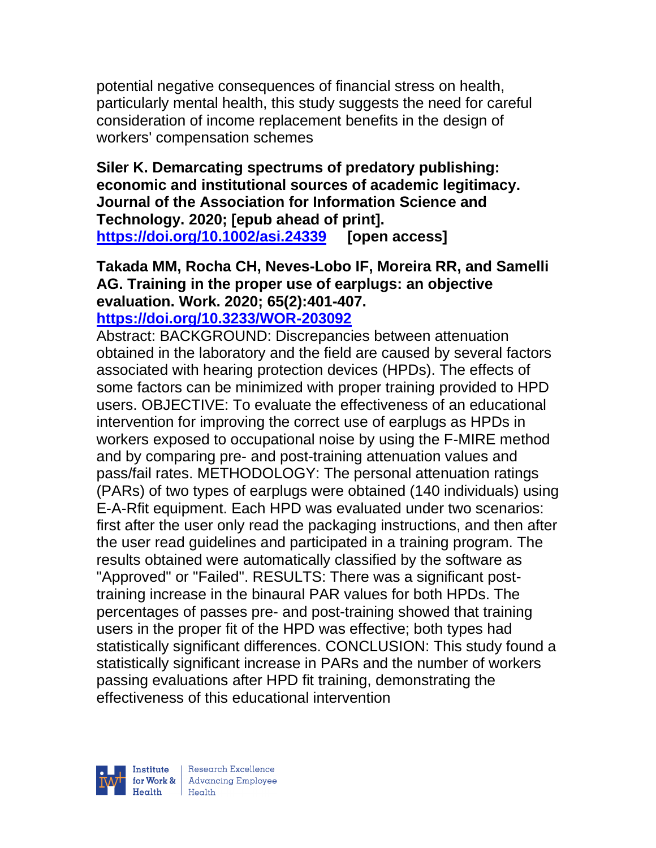potential negative consequences of financial stress on health, particularly mental health, this study suggests the need for careful consideration of income replacement benefits in the design of workers' compensation schemes

**Siler K. Demarcating spectrums of predatory publishing: economic and institutional sources of academic legitimacy. Journal of the Association for Information Science and Technology. 2020; [epub ahead of print]. <https://doi.org/10.1002/asi.24339> [open access]**

**Takada MM, Rocha CH, Neves-Lobo IF, Moreira RR, and Samelli AG. Training in the proper use of earplugs: an objective evaluation. Work. 2020; 65(2):401-407. <https://doi.org/10.3233/WOR-203092>** 

Abstract: BACKGROUND: Discrepancies between attenuation obtained in the laboratory and the field are caused by several factors associated with hearing protection devices (HPDs). The effects of some factors can be minimized with proper training provided to HPD users. OBJECTIVE: To evaluate the effectiveness of an educational intervention for improving the correct use of earplugs as HPDs in workers exposed to occupational noise by using the F-MIRE method and by comparing pre- and post-training attenuation values and pass/fail rates. METHODOLOGY: The personal attenuation ratings (PARs) of two types of earplugs were obtained (140 individuals) using E-A-Rfit equipment. Each HPD was evaluated under two scenarios: first after the user only read the packaging instructions, and then after the user read guidelines and participated in a training program. The results obtained were automatically classified by the software as "Approved" or "Failed". RESULTS: There was a significant posttraining increase in the binaural PAR values for both HPDs. The percentages of passes pre- and post-training showed that training users in the proper fit of the HPD was effective; both types had statistically significant differences. CONCLUSION: This study found a statistically significant increase in PARs and the number of workers passing evaluations after HPD fit training, demonstrating the effectiveness of this educational intervention

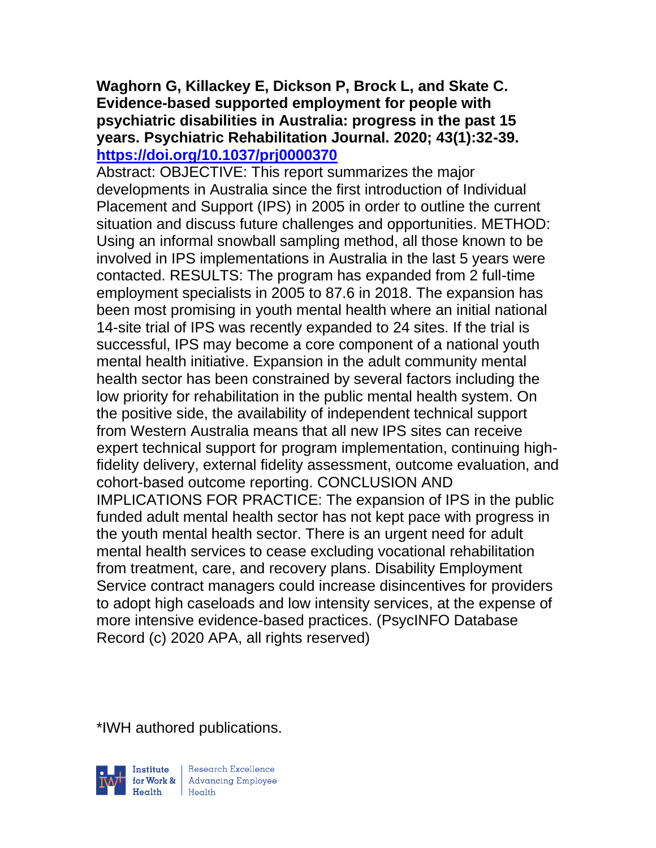### **Waghorn G, Killackey E, Dickson P, Brock L, and Skate C. Evidence-based supported employment for people with psychiatric disabilities in Australia: progress in the past 15 years. Psychiatric Rehabilitation Journal. 2020; 43(1):32-39. <https://doi.org/10.1037/prj0000370>**

Abstract: OBJECTIVE: This report summarizes the major developments in Australia since the first introduction of Individual Placement and Support (IPS) in 2005 in order to outline the current situation and discuss future challenges and opportunities. METHOD: Using an informal snowball sampling method, all those known to be involved in IPS implementations in Australia in the last 5 years were contacted. RESULTS: The program has expanded from 2 full-time employment specialists in 2005 to 87.6 in 2018. The expansion has been most promising in youth mental health where an initial national 14-site trial of IPS was recently expanded to 24 sites. If the trial is successful, IPS may become a core component of a national youth mental health initiative. Expansion in the adult community mental health sector has been constrained by several factors including the low priority for rehabilitation in the public mental health system. On the positive side, the availability of independent technical support from Western Australia means that all new IPS sites can receive expert technical support for program implementation, continuing highfidelity delivery, external fidelity assessment, outcome evaluation, and cohort-based outcome reporting. CONCLUSION AND IMPLICATIONS FOR PRACTICE: The expansion of IPS in the public funded adult mental health sector has not kept pace with progress in the youth mental health sector. There is an urgent need for adult mental health services to cease excluding vocational rehabilitation from treatment, care, and recovery plans. Disability Employment Service contract managers could increase disincentives for providers to adopt high caseloads and low intensity services, at the expense of more intensive evidence-based practices. (PsycINFO Database Record (c) 2020 APA, all rights reserved)

\*IWH authored publications.